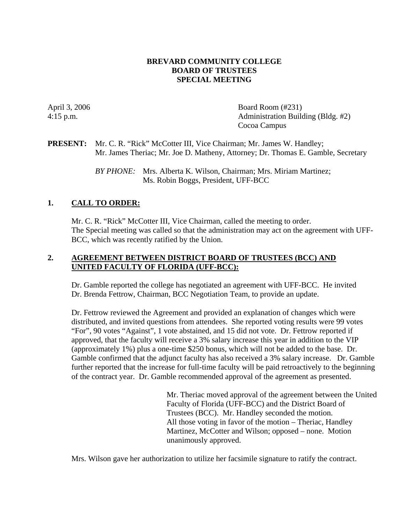## **BREVARD COMMUNITY COLLEGE BOARD OF TRUSTEES SPECIAL MEETING**

April 3, 2006 Board Room (#231) 4:15 p.m. Administration Building (Bldg. #2) Cocoa Campus

#### **PRESENT:** Mr. C. R. "Rick" McCotter III, Vice Chairman; Mr. James W. Handley; Mr. James Theriac; Mr. Joe D. Matheny, Attorney; Dr. Thomas E. Gamble, Secretary

*BY PHONE:* Mrs. Alberta K. Wilson, Chairman; Mrs. Miriam Martinez; Ms. Robin Boggs, President, UFF-BCC

# **1. CALL TO ORDER:**

Mr. C. R. "Rick" McCotter III, Vice Chairman, called the meeting to order. The Special meeting was called so that the administration may act on the agreement with UFF-BCC, which was recently ratified by the Union.

## **2. AGREEMENT BETWEEN DISTRICT BOARD OF TRUSTEES (BCC) AND UNITED FACULTY OF FLORIDA (UFF-BCC):**

Dr. Gamble reported the college has negotiated an agreement with UFF-BCC. He invited Dr. Brenda Fettrow, Chairman, BCC Negotiation Team, to provide an update.

Dr. Fettrow reviewed the Agreement and provided an explanation of changes which were distributed, and invited questions from attendees. She reported voting results were 99 votes "For", 90 votes "Against", 1 vote abstained, and 15 did not vote. Dr. Fettrow reported if approved, that the faculty will receive a 3% salary increase this year in addition to the VIP (approximately 1%) plus a one-time \$250 bonus, which will not be added to the base. Dr. Gamble confirmed that the adjunct faculty has also received a 3% salary increase. Dr. Gamble further reported that the increase for full-time faculty will be paid retroactively to the beginning of the contract year. Dr. Gamble recommended approval of the agreement as presented.

> Mr. Theriac moved approval of the agreement between the United Faculty of Florida (UFF-BCC) and the District Board of Trustees (BCC). Mr. Handley seconded the motion. All those voting in favor of the motion – Theriac, Handley Martinez, McCotter and Wilson; opposed – none. Motion unanimously approved.

Mrs. Wilson gave her authorization to utilize her facsimile signature to ratify the contract.